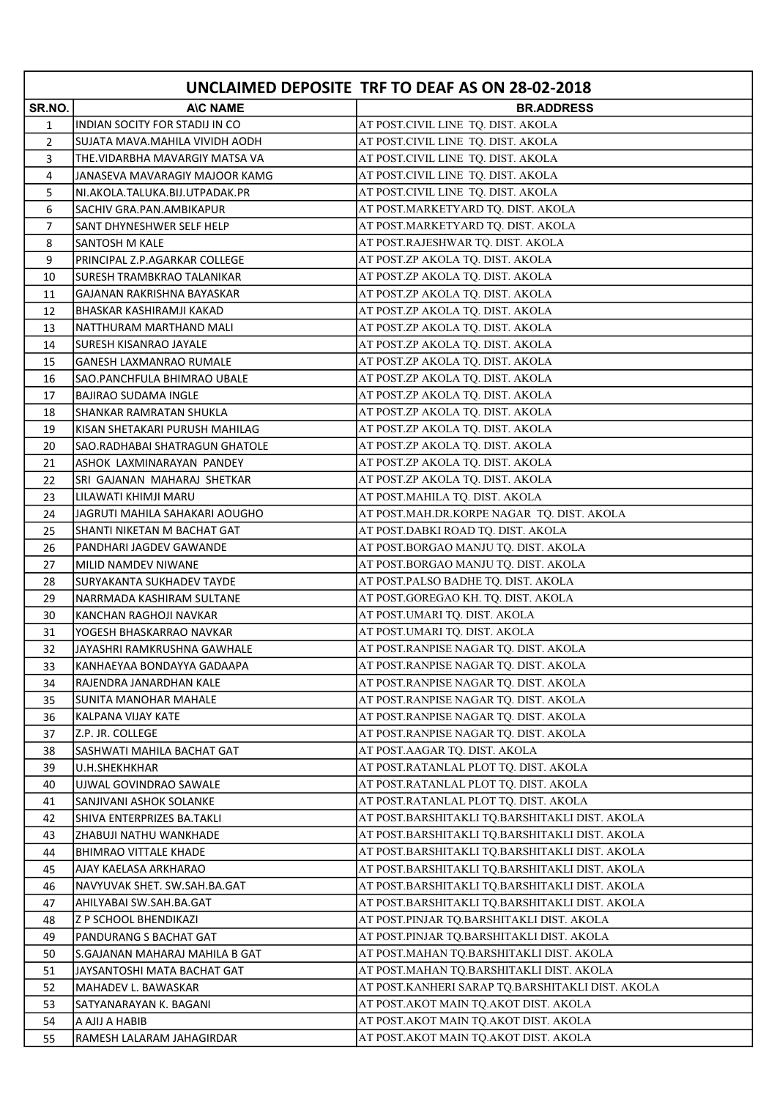|                |                                             | UNCLAIMED DEPOSITE TRF TO DEAF AS ON 28-02-2018                                             |
|----------------|---------------------------------------------|---------------------------------------------------------------------------------------------|
| SR.NO.         | <b>AIC NAME</b>                             | <b>BR.ADDRESS</b>                                                                           |
| 1              | INDIAN SOCITY FOR STADIJ IN CO              | AT POST.CIVIL LINE TQ. DIST. AKOLA                                                          |
| $\overline{2}$ | SUJATA MAVA.MAHILA VIVIDH AODH              | AT POST.CIVIL LINE TQ. DIST. AKOLA                                                          |
| 3              | THE VIDARBHA MAVARGIY MATSA VA              | AT POST.CIVIL LINE TQ. DIST. AKOLA                                                          |
| 4              | JANASEVA MAVARAGIY MAJOOR KAMG              | AT POST.CIVIL LINE TQ. DIST. AKOLA                                                          |
| 5              | NI.AKOLA.TALUKA.BIJ.UTPADAK.PR              | AT POST.CIVIL LINE TQ. DIST. AKOLA                                                          |
| 6              | SACHIV GRA.PAN.AMBIKAPUR                    | AT POST.MARKETYARD TQ. DIST. AKOLA                                                          |
| 7              | SANT DHYNESHWER SELF HELP                   | AT POST.MARKETYARD TQ. DIST. AKOLA                                                          |
| 8              | <b>SANTOSH M KALE</b>                       | AT POST.RAJESHWAR TQ. DIST. AKOLA                                                           |
| 9              | PRINCIPAL Z.P.AGARKAR COLLEGE               | AT POST.ZP AKOLA TQ. DIST. AKOLA                                                            |
| 10             | <b>SURESH TRAMBKRAO TALANIKAR</b>           | AT POST.ZP AKOLA TQ. DIST. AKOLA                                                            |
| 11             | GAJANAN RAKRISHNA BAYASKAR                  | AT POST.ZP AKOLA TQ. DIST. AKOLA                                                            |
| 12             | BHASKAR KASHIRAMJI KAKAD                    | AT POST.ZP AKOLA TQ. DIST. AKOLA                                                            |
| 13             | NATTHURAM MARTHAND MALI                     | AT POST.ZP AKOLA TQ. DIST. AKOLA                                                            |
| 14             | <b>SURESH KISANRAO JAYALE</b>               | AT POST.ZP AKOLA TQ. DIST. AKOLA                                                            |
| 15             | <b>GANESH LAXMANRAO RUMALE</b>              | AT POST.ZP AKOLA TQ. DIST. AKOLA                                                            |
| 16             | SAO.PANCHFULA BHIMRAO UBALE                 | AT POST.ZP AKOLA TQ. DIST. AKOLA                                                            |
| 17             | BAJIRAO SUDAMA INGLE                        | AT POST.ZP AKOLA TQ. DIST. AKOLA                                                            |
| 18             | SHANKAR RAMRATAN SHUKLA                     | AT POST.ZP AKOLA TQ. DIST. AKOLA                                                            |
| 19             | KISAN SHETAKARI PURUSH MAHILAG              | AT POST.ZP AKOLA TQ. DIST. AKOLA                                                            |
| 20             | SAO.RADHABAI SHATRAGUN GHATOLE              | AT POST.ZP AKOLA TQ. DIST. AKOLA                                                            |
| 21             | ASHOK LAXMINARAYAN PANDEY                   | AT POST.ZP AKOLA TQ. DIST. AKOLA                                                            |
| 22             | SRI GAJANAN MAHARAJ SHETKAR                 | AT POST.ZP AKOLA TQ. DIST. AKOLA                                                            |
| 23             | LILAWATI KHIMJI MARU                        | AT POST.MAHILA TQ. DIST. AKOLA                                                              |
| 24             | JAGRUTI MAHILA SAHAKARI AOUGHO              | AT POST.MAH.DR.KORPE NAGAR TQ. DIST. AKOLA                                                  |
| 25             | SHANTI NIKETAN M BACHAT GAT                 | AT POST.DABKI ROAD TQ. DIST. AKOLA                                                          |
| 26             | PANDHARI JAGDEV GAWANDE                     | AT POST.BORGAO MANJU TQ. DIST. AKOLA                                                        |
| 27             | MILID NAMDEV NIWANE                         | AT POST.BORGAO MANJU TQ. DIST. AKOLA                                                        |
| 28             | SURYAKANTA SUKHADEV TAYDE                   | AT POST.PALSO BADHE TQ. DIST. AKOLA                                                         |
| 29             | NARRMADA KASHIRAM SULTANE                   | AT POST.GOREGAO KH. TQ. DIST. AKOLA                                                         |
| 30             | KANCHAN RAGHOJI NAVKAR                      | AT POST.UMARI TQ. DIST. AKOLA                                                               |
| 31             | YOGESH BHASKARRAO NAVKAR                    | AT POST.UMARI TQ. DIST. AKOLA                                                               |
| 32             | JAYASHRI RAMKRUSHNA GAWHALE                 | AT POST.RANPISE NAGAR TQ. DIST. AKOLA                                                       |
| 33             | KANHAEYAA BONDAYYA GADAAPA                  | AT POST.RANPISE NAGAR TQ. DIST. AKOLA                                                       |
| 34             | RAJENDRA JANARDHAN KALE                     | AT POST.RANPISE NAGAR TQ. DIST. AKOLA                                                       |
| 35             | <b>SUNITA MANOHAR MAHALE</b>                | AT POST.RANPISE NAGAR TQ. DIST. AKOLA                                                       |
| 36             | KALPANA VIJAY KATE                          | AT POST.RANPISE NAGAR TQ. DIST. AKOLA                                                       |
| 37             | Z.P. JR. COLLEGE                            | AT POST.RANPISE NAGAR TO. DIST. AKOLA                                                       |
| 38             | SASHWATI MAHILA BACHAT GAT                  | AT POST.AAGAR TQ. DIST. AKOLA                                                               |
| 39             | U.H.SHEKHKHAR                               | AT POST.RATANLAL PLOT TO. DIST. AKOLA                                                       |
| 40             | UJWAL GOVINDRAO SAWALE                      | AT POST.RATANLAL PLOT TO. DIST. AKOLA                                                       |
| 41             | SANJIVANI ASHOK SOLANKE                     | AT POST.RATANLAL PLOT TQ. DIST. AKOLA                                                       |
| 42             | SHIVA ENTERPRIZES BA.TAKLI                  | AT POST.BARSHITAKLI TQ.BARSHITAKLI DIST. AKOLA                                              |
| 43             | ZHABUJI NATHU WANKHADE                      | AT POST.BARSHITAKLI TQ.BARSHITAKLI DIST. AKOLA                                              |
| 44             | <b>BHIMRAO VITTALE KHADE</b>                | AT POST.BARSHITAKLI TQ.BARSHITAKLI DIST. AKOLA                                              |
| 45             | AJAY KAELASA ARKHARAO                       | AT POST.BARSHITAKLI TQ.BARSHITAKLI DIST. AKOLA                                              |
| 46             | NAVYUVAK SHET. SW.SAH.BA.GAT                | AT POST.BARSHITAKLI TQ.BARSHITAKLI DIST. AKOLA                                              |
| 47             | AHILYABAI SW.SAH.BA.GAT                     | AT POST.BARSHITAKLI TQ.BARSHITAKLI DIST. AKOLA<br>AT POST.PINJAR TQ.BARSHITAKLI DIST. AKOLA |
| 48             | <b>Z P SCHOOL BHENDIKAZI</b>                |                                                                                             |
| 49             | PANDURANG S BACHAT GAT                      | AT POST.PINJAR TQ.BARSHITAKLI DIST. AKOLA<br>AT POST.MAHAN TQ.BARSHITAKLI DIST. AKOLA       |
| 50             | S.GAJANAN MAHARAJ MAHILA B GAT              | AT POST.MAHAN TQ.BARSHITAKLI DIST. AKOLA                                                    |
| 51             | JAYSANTOSHI MATA BACHAT GAT                 | AT POST.KANHERI SARAP TQ.BARSHITAKLI DIST. AKOLA                                            |
| 52             | MAHADEV L. BAWASKAR                         | AT POST.AKOT MAIN TQ.AKOT DIST. AKOLA                                                       |
| 53<br>54       | SATYANARAYAN K. BAGANI                      | AT POST.AKOT MAIN TQ.AKOT DIST. AKOLA                                                       |
| 55             | A AJIJ A HABIB<br>RAMESH LALARAM JAHAGIRDAR | AT POST.AKOT MAIN TQ.AKOT DIST. AKOLA                                                       |
|                |                                             |                                                                                             |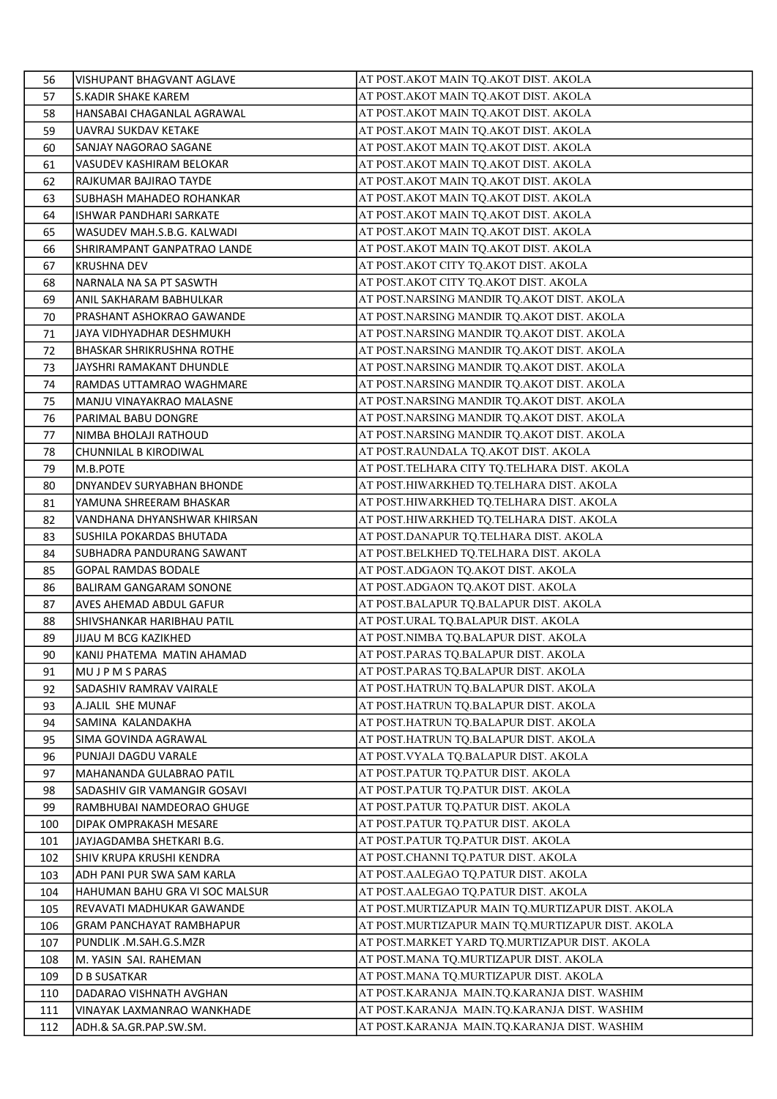| 56       | VISHUPANT BHAGVANT AGLAVE                          | AT POST.AKOT MAIN TQ.AKOT DIST. AKOLA                                       |
|----------|----------------------------------------------------|-----------------------------------------------------------------------------|
| 57       | S.KADIR SHAKE KAREM                                | AT POST.AKOT MAIN TQ.AKOT DIST. AKOLA                                       |
| 58       | HANSABAI CHAGANLAL AGRAWAL                         | AT POST.AKOT MAIN TQ.AKOT DIST. AKOLA                                       |
| 59       | UAVRAJ SUKDAV KETAKE                               | AT POST.AKOT MAIN TQ.AKOT DIST. AKOLA                                       |
| 60       | SANJAY NAGORAO SAGANE                              | AT POST.AKOT MAIN TO.AKOT DIST. AKOLA                                       |
| 61       | VASUDEV KASHIRAM BELOKAR                           | AT POST.AKOT MAIN TQ.AKOT DIST. AKOLA                                       |
| 62       | RAJKUMAR BAJIRAO TAYDE                             | AT POST.AKOT MAIN TQ.AKOT DIST. AKOLA                                       |
| 63       | SUBHASH MAHADEO ROHANKAR                           | AT POST.AKOT MAIN TQ.AKOT DIST. AKOLA                                       |
| 64       | <b>ISHWAR PANDHARI SARKATE</b>                     | AT POST.AKOT MAIN TQ.AKOT DIST. AKOLA                                       |
| 65       | WASUDEV MAH.S.B.G. KALWADI                         | AT POST. AKOT MAIN TQ. AKOT DIST. AKOLA                                     |
| 66       | SHRIRAMPANT GANPATRAO LANDE                        | AT POST.AKOT MAIN TQ.AKOT DIST. AKOLA                                       |
| 67       | KRUSHNA DEV                                        | AT POST.AKOT CITY TQ.AKOT DIST. AKOLA                                       |
| 68       | NARNALA NA SA PT SASWTH                            | AT POST.AKOT CITY TQ.AKOT DIST. AKOLA                                       |
| 69       | ANIL SAKHARAM BABHULKAR                            | AT POST.NARSING MANDIR TQ.AKOT DIST. AKOLA                                  |
| 70       | PRASHANT ASHOKRAO GAWANDE                          | AT POST.NARSING MANDIR TQ.AKOT DIST. AKOLA                                  |
| 71       | JAYA VIDHYADHAR DESHMUKH                           | AT POST.NARSING MANDIR TQ.AKOT DIST. AKOLA                                  |
| 72       | <b>BHASKAR SHRIKRUSHNA ROTHE</b>                   | AT POST.NARSING MANDIR TQ.AKOT DIST. AKOLA                                  |
| 73       | JAYSHRI RAMAKANT DHUNDLE                           | AT POST.NARSING MANDIR TQ.AKOT DIST. AKOLA                                  |
| 74       | RAMDAS UTTAMRAO WAGHMARE                           | AT POST.NARSING MANDIR TO.AKOT DIST. AKOLA                                  |
| 75       | MANJU VINAYAKRAO MALASNE                           | AT POST.NARSING MANDIR TQ.AKOT DIST. AKOLA                                  |
| 76       | PARIMAL BABU DONGRE                                | AT POST.NARSING MANDIR TQ.AKOT DIST. AKOLA                                  |
| 77       | NIMBA BHOLAJI RATHOUD                              | AT POST.NARSING MANDIR TQ.AKOT DIST. AKOLA                                  |
| 78       | CHUNNILAL B KIRODIWAL                              | AT POST.RAUNDALA TQ.AKOT DIST. AKOLA                                        |
| 79       | M.B.POTE                                           | AT POST.TELHARA CITY TQ.TELHARA DIST. AKOLA                                 |
| 80       | DNYANDEV SURYABHAN BHONDE                          | AT POST.HIWARKHED TQ.TELHARA DIST. AKOLA                                    |
| 81       | YAMUNA SHREERAM BHASKAR                            | AT POST.HIWARKHED TQ.TELHARA DIST. AKOLA                                    |
| 82       | VANDHANA DHYANSHWAR KHIRSAN                        | AT POST.HIWARKHED TQ.TELHARA DIST. AKOLA                                    |
| 83       | SUSHILA POKARDAS BHUTADA                           | AT POST.DANAPUR TQ.TELHARA DIST. AKOLA                                      |
| 84       | SUBHADRA PANDURANG SAWANT                          | AT POST.BELKHED TQ.TELHARA DIST. AKOLA                                      |
| 85       | <b>GOPAL RAMDAS BODALE</b>                         | AT POST.ADGAON TQ.AKOT DIST. AKOLA                                          |
| 86       | BALIRAM GANGARAM SONONE                            | AT POST.ADGAON TQ.AKOT DIST. AKOLA                                          |
| 87       | AVES AHEMAD ABDUL GAFUR                            | AT POST.BALAPUR TQ.BALAPUR DIST. AKOLA                                      |
| 88<br>89 | SHIVSHANKAR HARIBHAU PATIL<br>JIJAU M BCG KAZIKHED | AT POST.URAL TQ.BALAPUR DIST. AKOLA<br>AT POST.NIMBA TQ.BALAPUR DIST. AKOLA |
| 90       | KANIJ PHATEMA MATIN AHAMAD                         | AT POST.PARAS TQ.BALAPUR DIST. AKOLA                                        |
| 91       | MU J P M S PARAS                                   | AT POST.PARAS TQ.BALAPUR DIST. AKOLA                                        |
| 92       | SADASHIV RAMRAV VAIRALE                            | AT POST.HATRUN TQ.BALAPUR DIST. AKOLA                                       |
| 93       | A.JALIL SHE MUNAF                                  | AT POST.HATRUN TQ.BALAPUR DIST. AKOLA                                       |
| 94       | SAMINA KALANDAKHA                                  | AT POST.HATRUN TQ.BALAPUR DIST. AKOLA                                       |
| 95       | SIMA GOVINDA AGRAWAL                               | AT POST.HATRUN TQ.BALAPUR DIST. AKOLA                                       |
| 96       | PUNJAJI DAGDU VARALE                               | AT POST.VYALA TQ.BALAPUR DIST. AKOLA                                        |
| 97       | MAHANANDA GULABRAO PATIL                           | AT POST.PATUR TQ.PATUR DIST. AKOLA                                          |
| 98       | SADASHIV GIR VAMANGIR GOSAVI                       | AT POST.PATUR TQ.PATUR DIST. AKOLA                                          |
| 99       | RAMBHUBAI NAMDEORAO GHUGE                          | AT POST.PATUR TO.PATUR DIST. AKOLA                                          |
| 100      | DIPAK OMPRAKASH MESARE                             | AT POST.PATUR TQ.PATUR DIST. AKOLA                                          |
| 101      | JAYJAGDAMBA SHETKARI B.G.                          | AT POST.PATUR TQ.PATUR DIST. AKOLA                                          |
| 102      | SHIV KRUPA KRUSHI KENDRA                           | AT POST.CHANNI TQ.PATUR DIST. AKOLA                                         |
| 103      | ADH PANI PUR SWA SAM KARLA                         | AT POST.AALEGAO TQ.PATUR DIST. AKOLA                                        |
| 104      | HAHUMAN BAHU GRA VI SOC MALSUR                     | AT POST. AALEGAO TQ. PATUR DIST. AKOLA                                      |
| 105      | REVAVATI MADHUKAR GAWANDE                          | AT POST.MURTIZAPUR MAIN TQ.MURTIZAPUR DIST. AKOLA                           |
| 106      | <b>GRAM PANCHAYAT RAMBHAPUR</b>                    | AT POST.MURTIZAPUR MAIN TQ.MURTIZAPUR DIST. AKOLA                           |
| 107      | PUNDLIK .M.SAH.G.S.MZR                             | AT POST.MARKET YARD TQ.MURTIZAPUR DIST. AKOLA                               |
| 108      | M. YASIN SAI. RAHEMAN                              | AT POST.MANA TQ.MURTIZAPUR DIST. AKOLA                                      |
| 109      | D B SUSATKAR                                       | AT POST.MANA TQ.MURTIZAPUR DIST. AKOLA                                      |
| 110      | DADARAO VISHNATH AVGHAN                            | AT POST.KARANJA  MAIN.TQ.KARANJA DIST. WASHIM                               |
| 111      | VINAYAK LAXMANRAO WANKHADE                         | AT POST.KARANJA MAIN.TQ.KARANJA DIST. WASHIM                                |
| 112      | ADH.& SA.GR.PAP.SW.SM.                             | AT POST.KARANJA  MAIN.TQ.KARANJA DIST. WASHIM                               |